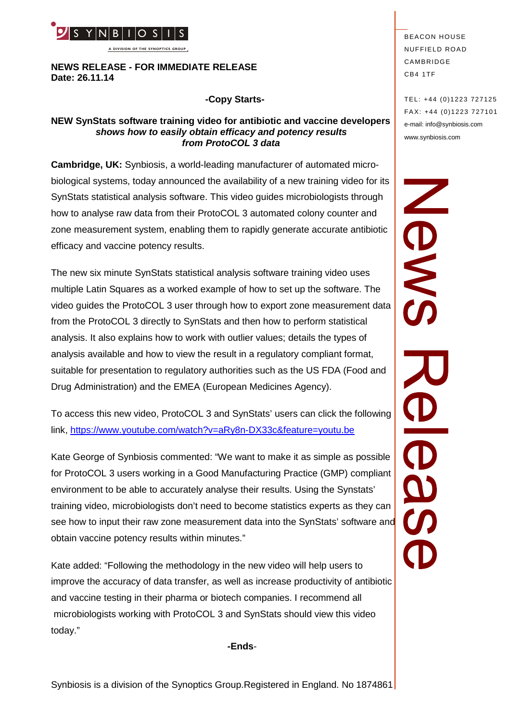

**A DIVISION OF THE SYNOPTICS GROUP**

**NEWS RELEASE - FOR IMMEDIATE RELEASE Date: 26.11.14**

## **-Copy Starts-**

#### **NEW SynStats software training video for antibiotic and vaccine developers** *shows how to easily obtain efficacy and potency results from ProtoCOL 3 data*

**Cambridge, UK:** Synbiosis, a world-leading manufacturer of automated microbiological systems, today announced the availability of a new training video for its<br>SynStats statistical analysis software. This video guides microbiologists through<br>how to analyse raw data from their ProtoCOL 3 automated SynStats statistical analysis software. This video guides microbiologists through how to analyse raw data from their ProtoCOL 3 automated colony counter and zone measurement system, enabling them to rapidly generate accurate antibiotic efficacy and vaccine potency results.

The new six minute SynStats statistical analysis software training video uses multiple Latin Squares as a worked example of how to set up the software. The video guides the ProtoCOL 3 user through how to export zone measurement data from the ProtoCOL 3 directly to SynStats and then how to perform statistical analysis. It also explains how to work with outlier values; details the types of analysis available and how to view the result in a regulatory compliant format, suitable for presentation to regulatory authorities such as the US FDA (Food and Drug Administration) and the EMEA (European Medicines Agency).

To access this new video, ProtoCOL 3 and SynStats' users can click the following link, <https://www.youtube.com/watch?v=aRy8n-DX33c&feature=youtu.be>

Kate George of Synbiosis commented: "We want to make it as simple as possible for ProtoCOL 3 users working in a Good Manufacturing Practice (GMP) compliant environment to be able to accurately analyse their results. Using the Synstats' training video, microbiologists don't need to become statistics experts as they can see how to input their raw zone measurement data into the SynStats' software and obtain vaccine potency results within minutes."

Kate added: "Following the methodology in the new video will help users to improve the accuracy of data transfer, as well as increase productivity of antibiotic and vaccine testing in their pharma or biotech companies. I recommend all microbiologists working with ProtoCOL 3 and SynStats should view this video today."

**-Ends**-

**BEACON HOUSE NUFFIELD ROAD** CAMBRIDGE CB4 1TF

TEL: +44 (0)1223 727125 FA X: +44 (0)1223 727101 e-mail: info@synbiosis.com www.synbiosis.com

O<br>O<br>O